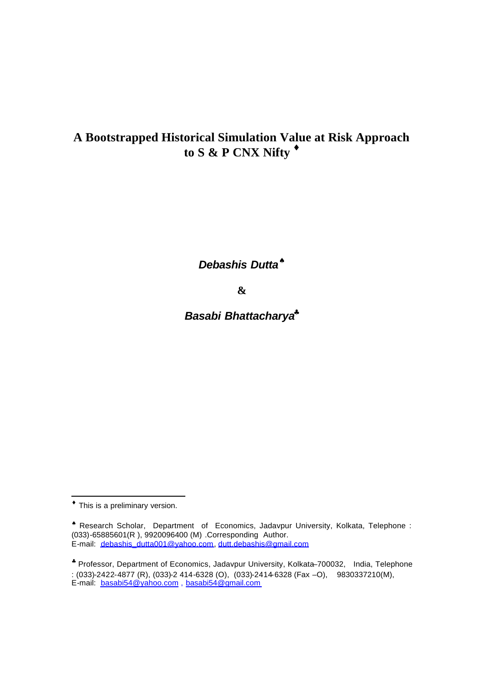# **A Bootstrapped Historical Simulation Value at Risk Approach to S & P CNX Nifty ¨**

*Debashis Dutta<sup>ª</sup>*

**&**

*Basabi Bhattacharya§*

l

**<sup>¨</sup>** This is a preliminary version.

<sup>♠</sup> Research Scholar, Department of Economics, Jadavpur University, Kolkata, Telephone : (033)-65885601(R ), 9920096400 (M) .Corresponding Author. E-mail: debashis\_dutta001@yahoo.com, dutt.debashis@gmail.com

<sup>♣</sup> Professor, Department of Economics, Jadavpur University, Kolkata–700032, India, Telephone : (033)-2422-4877 (R), (033)-2 414-6328 (O), (033)-2414-6328 (Fax –O), 9830337210(M), E-mail: basabi54@yahoo.com, basabi54@gmail.com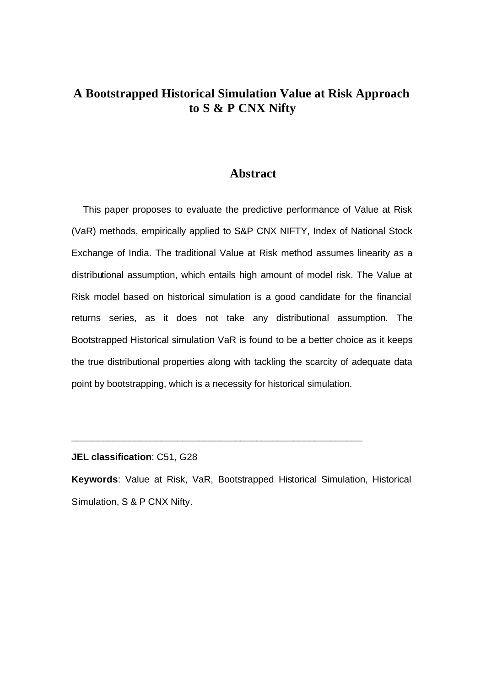## **A Bootstrapped Historical Simulation Value at Risk Approach to S & P CNX Nifty**

#### **Abstract**

This paper proposes to evaluate the predictive performance of Value at Risk (VaR) methods, empirically applied to S&P CNX NIFTY, Index of National Stock Exchange of India. The traditional Value at Risk method assumes linearity as a distributional assumption, which entails high amount of model risk. The Value at Risk model based on historical simulation is a good candidate for the financial returns series, as it does not take any distributional assumption. The Bootstrapped Historical simulation VaR is found to be a better choice as it keeps the true distributional properties along with tackling the scarcity of adequate data point by bootstrapping, which is a necessity for historical simulation.

**JEL classification**: C51, G28

**Keywords**: Value at Risk, VaR, Bootstrapped Historical Simulation, Historical Simulation, S & P CNX Nifty.

\_\_\_\_\_\_\_\_\_\_\_\_\_\_\_\_\_\_\_\_\_\_\_\_\_\_\_\_\_\_\_\_\_\_\_\_\_\_\_\_\_\_\_\_\_\_\_\_\_\_\_\_\_\_\_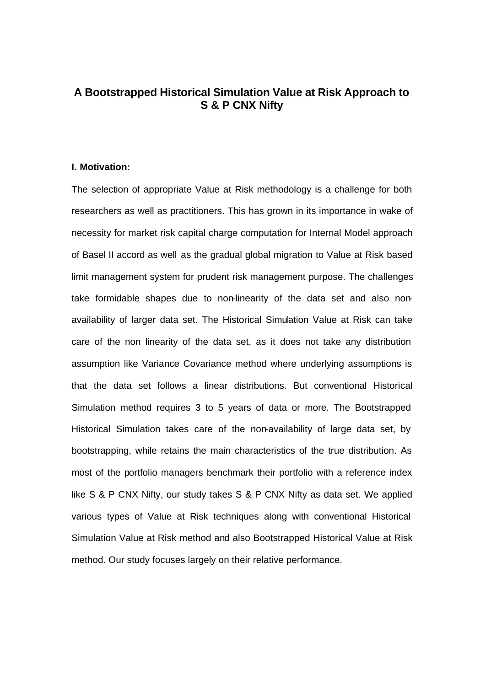### **A Bootstrapped Historical Simulation Value at Risk Approach to S & P CNX Nifty**

#### **I. Motivation:**

The selection of appropriate Value at Risk methodology is a challenge for both researchers as well as practitioners. This has grown in its importance in wake of necessity for market risk capital charge computation for Internal Model approach of Basel II accord as well as the gradual global migration to Value at Risk based limit management system for prudent risk management purpose. The challenges take formidable shapes due to non-linearity of the data set and also nonavailability of larger data set. The Historical Simulation Value at Risk can take care of the non linearity of the data set, as it does not take any distribution assumption like Variance Covariance method where underlying assumptions is that the data set follows a linear distributions. But conventional Historical Simulation method requires 3 to 5 years of data or more. The Bootstrapped Historical Simulation takes care of the non-availability of large data set, by bootstrapping, while retains the main characteristics of the true distribution. As most of the portfolio managers benchmark their portfolio with a reference index like S & P CNX Nifty, our study takes S & P CNX Nifty as data set. We applied various types of Value at Risk techniques along with conventional Historical Simulation Value at Risk method and also Bootstrapped Historical Value at Risk method. Our study focuses largely on their relative performance.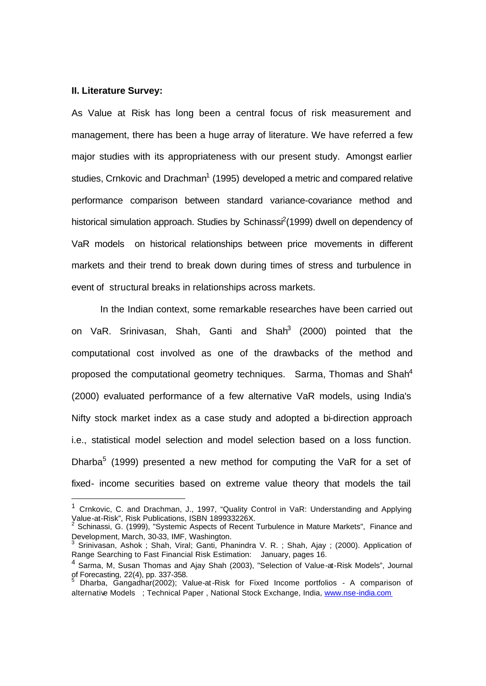#### **II. Literature Survey:**

l

As Value at Risk has long been a central focus of risk measurement and management, there has been a huge array of literature. We have referred a few major studies with its appropriateness with our present study. Amongst earlier studies, Crnkovic and Drachman<sup>1</sup> (1995) developed a metric and compared relative performance comparison between standard variance-covariance method and historical simulation approach. Studies by Schinassi<sup>2</sup>(1999) dwell on dependency of VaR models on historical relationships between price movements in different markets and their trend to break down during times of stress and turbulence in event of structural breaks in relationships across markets.

In the Indian context, some remarkable researches have been carried out on VaR. Srinivasan, Shah, Ganti and Shah<sup>3</sup> (2000) pointed that the computational cost involved as one of the drawbacks of the method and proposed the computational geometry techniques. Sarma, Thomas and Shah<sup>4</sup> (2000) evaluated performance of a few alternative VaR models, using India's Nifty stock market index as a case study and adopted a bi-direction approach i.e., statistical model selection and model selection based on a loss function. Dharba<sup>5</sup> (1999) presented a new method for computing the VaR for a set of fixed- income securities based on extreme value theory that models the tail

<sup>&</sup>lt;sup>1</sup> Crnkovic, C. and Drachman, J., 1997, "Quality Control in VaR: Understanding and Applying Value-at-Risk", Risk Publications, ISBN 189933226X.

<sup>&</sup>lt;sup>2</sup> Schinassi, G. (1999), "Systemic Aspects of Recent Turbulence in Mature Markets", Finance and Development, March, 30-33, IMF, Washington.

 $^3$  Srinivasan, Ashok; Shah, Viral; Ganti, Phanindra V. R.; Shah, Ajay; (2000). Application of Range Searching to Fast Financial Risk Estimation: January, pages 16.

<sup>4</sup> Sarma, M, Susan Thomas and Ajay Shah (2003), "Selection of Value-at-Risk Models", Journal of Forecasting, 22(4), pp. 337-358.<br><sup>5</sup> Dharba Cangadhar(2003): V.

 $^5$  Dharba, Gangadhar(2002); Value-at-Risk for Fixed Income portfolios - A comparison of alternative Models ; Technical Paper , National Stock Exchange, India, www.nse-india.com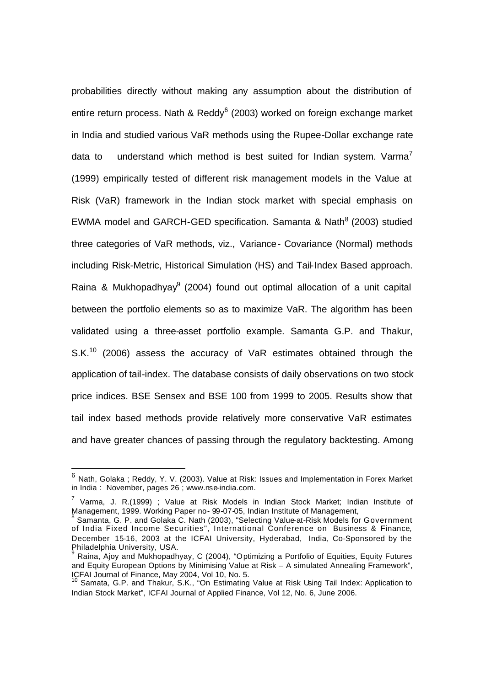probabilities directly without making any assumption about the distribution of entire return process. Nath & Reddy<sup>6</sup> (2003) worked on foreign exchange market in India and studied various VaR methods using the Rupee-Dollar exchange rate data to understand which method is best suited for Indian system. Varma<sup>7</sup> (1999) empirically tested of different risk management models in the Value at Risk (VaR) framework in the Indian stock market with special emphasis on EWMA model and GARCH-GED specification. Samanta & Nath<sup>8</sup> (2003) studied three categories of VaR methods, viz., Variance- Covariance (Normal) methods including Risk-Metric, Historical Simulation (HS) and Tail-Index Based approach. Raina & Mukhopadhyay $9$  (2004) found out optimal allocation of a unit capital between the portfolio elements so as to maximize VaR. The algorithm has been validated using a three-asset portfolio example. Samanta G.P. and Thakur, S.K.<sup>10</sup> (2006) assess the accuracy of VaR estimates obtained through the application of tail-index. The database consists of daily observations on two stock price indices. BSE Sensex and BSE 100 from 1999 to 2005. Results show that tail index based methods provide relatively more conservative VaR estimates and have greater chances of passing through the regulatory backtesting. Among

l

 $^6$  Nath, Golaka ; Reddy, Y. V. (2003). Value at Risk: Issues and Implementation in Forex Market in India : November, pages 26 ; www.nse-india.com.

<sup>&</sup>lt;sup>7</sup> Varma, J. R.(1999) ; Value at Risk Models in Indian Stock Market; Indian Institute of Management, 1999. Working Paper no- 99-07-05, Indian Institute of Management,<br>8 Camanta C. B. and Calaka C. Nath (2003), "Calasting Value at Biak Madela fa

Samanta, G. P. and Golaka C. Nath (2003), "Selecting Value-at-Risk Models for Government of India Fixed Income Securities", International Conference on Business & Finance, December 15-16, 2003 at the ICFAI University, Hyderabad, India, Co-Sponsored by the Philadelphia University, USA.

<sup>&</sup>lt;sup>9</sup> Raina, Ajoy and Mukhopadhyay, C (2004), "Optimizing a Portfolio of Equities, Equity Futures and Equity European Options by Minimising Value at Risk – A simulated Annealing Framework", ICFAI Journal of Finance, May 2004, Vol 10, No. 5.

<sup>&</sup>lt;sup>10</sup> Samata, G.P. and Thakur, S.K., "On Estimating Value at Risk Using Tail Index: Application to Indian Stock Market", ICFAI Journal of Applied Finance, Vol 12, No. 6, June 2006.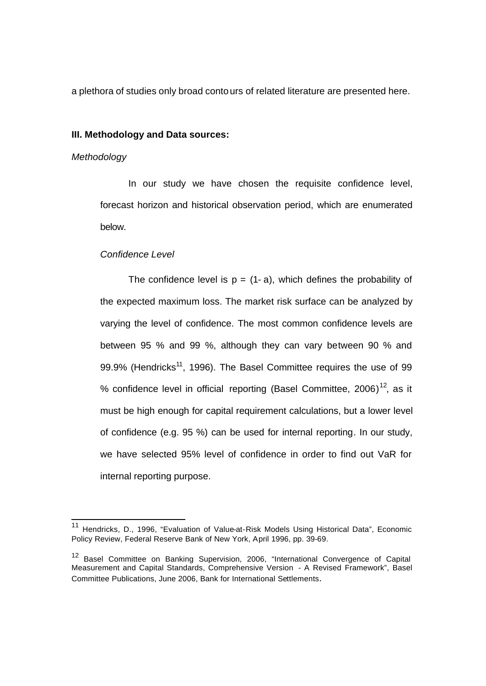a plethora of studies only broad contours of related literature are presented here.

#### **III. Methodology and Data sources:**

#### *Methodology*

l

In our study we have chosen the requisite confidence level, forecast horizon and historical observation period, which are enumerated below.

#### *Confidence Level*

The confidence level is  $p = (1 - a)$ , which defines the probability of the expected maximum loss. The market risk surface can be analyzed by varying the level of confidence. The most common confidence levels are between 95 % and 99 %, although they can vary between 90 % and 99.9% (Hendricks<sup>11</sup>, 1996). The Basel Committee requires the use of 99 % confidence level in official reporting (Basel Committee, 2006)<sup>12</sup>, as it must be high enough for capital requirement calculations, but a lower level of confidence (e.g. 95 %) can be used for internal reporting. In our study, we have selected 95% level of confidence in order to find out VaR for internal reporting purpose.

<sup>&</sup>lt;sup>11</sup> Hendricks, D., 1996, "Evaluation of Value-at-Risk Models Using Historical Data", Economic Policy Review, Federal Reserve Bank of New York, April 1996, pp. 39-69.

<sup>12</sup> Basel Committee on Banking Supervision, 2006, "International Convergence of Capital Measurement and Capital Standards, Comprehensive Version - A Revised Framework", Basel Committee Publications, June 2006, Bank for International Settlements.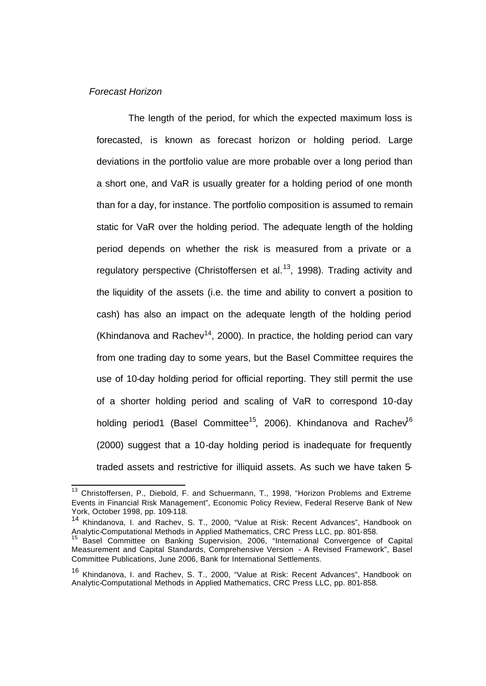#### *Forecast Horizon*

The length of the period, for which the expected maximum loss is forecasted, is known as forecast horizon or holding period. Large deviations in the portfolio value are more probable over a long period than a short one, and VaR is usually greater for a holding period of one month than for a day, for instance. The portfolio composition is assumed to remain static for VaR over the holding period. The adequate length of the holding period depends on whether the risk is measured from a private or a regulatory perspective (Christoffersen et al.<sup>13</sup>, 1998). Trading activity and the liquidity of the assets (i.e. the time and ability to convert a position to cash) has also an impact on the adequate length of the holding period (Khindanova and Rachev<sup>14</sup>, 2000). In practice, the holding period can vary from one trading day to some years, but the Basel Committee requires the use of 10-day holding period for official reporting. They still permit the use of a shorter holding period and scaling of VaR to correspond 10-day holding period1 (Basel Committee<sup>15</sup>, 2006). Khindanova and Rachev<sup>16</sup> (2000) suggest that a 10-day holding period is inadequate for frequently traded assets and restrictive for illiquid assets. As such we have taken 5-

 $\overline{a}$ <sup>13</sup> Christoffersen, P., Diebold, F. and Schuermann, T., 1998, "Horizon Problems and Extreme Events in Financial Risk Management", Economic Policy Review, Federal Reserve Bank of New York, October 1998, pp. 109-118.

<sup>14</sup> Khindanova, I. and Rachev, S. T., 2000, "Value at Risk: Recent Advances", Handbook on Analytic-Computational Methods in Applied Mathematics, CRC Press LLC, pp. 801-858.

<sup>15</sup> Basel Committee on Banking Supervision, 2006, "International Convergence of Capital Measurement and Capital Standards, Comprehensive Version - A Revised Framework", Basel Committee Publications, June 2006, Bank for International Settlements.

<sup>&</sup>lt;sup>16</sup> Khindanova. I. and Rachev, S. T., 2000, "Value at Risk: Recent Advances", Handbook on Analytic-Computational Methods in Applied Mathematics, CRC Press LLC, pp. 801-858.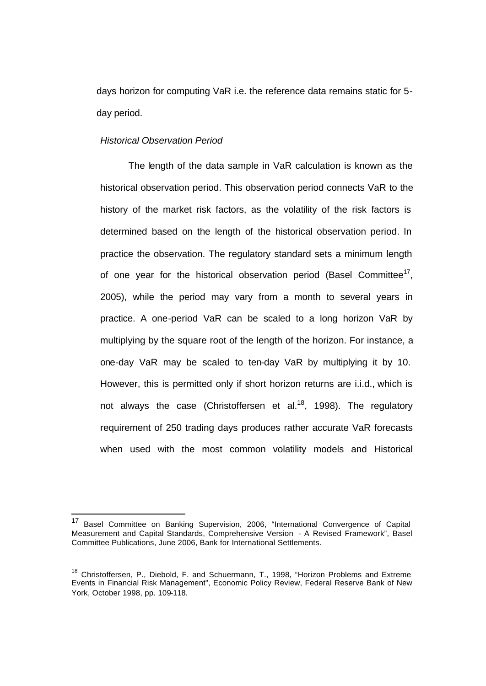days horizon for computing VaR i.e. the reference data remains static for 5 day period.

#### *Historical Observation Period*

The length of the data sample in VaR calculation is known as the historical observation period. This observation period connects VaR to the history of the market risk factors, as the volatility of the risk factors is determined based on the length of the historical observation period. In practice the observation. The regulatory standard sets a minimum length of one year for the historical observation period (Basel Committee<sup>17</sup>, 2005), while the period may vary from a month to several years in practice. A one-period VaR can be scaled to a long horizon VaR by multiplying by the square root of the length of the horizon. For instance, a one-day VaR may be scaled to ten-day VaR by multiplying it by 10. However, this is permitted only if short horizon returns are i.i.d., which is not always the case (Christoffersen et al.<sup>18</sup>, 1998). The regulatory requirement of 250 trading days produces rather accurate VaR forecasts when used with the most common volatility models and Historical

 $17\,$ Basel Committee on Banking Supervision, 2006, "International Convergence of Capital Measurement and Capital Standards, Comprehensive Version - A Revised Framework", Basel Committee Publications, June 2006, Bank for International Settlements.

<sup>&</sup>lt;sup>18</sup> Christoffersen, P., Diebold, F. and Schuermann, T., 1998, "Horizon Problems and Extreme Events in Financial Risk Management", Economic Policy Review, Federal Reserve Bank of New York, October 1998, pp. 109-118.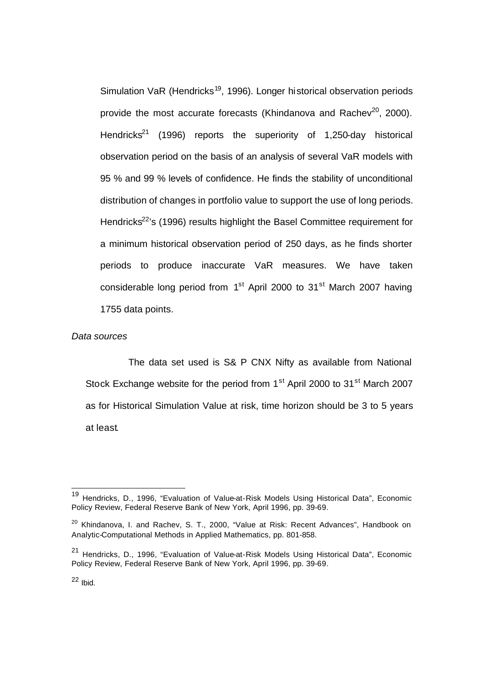Simulation VaR (Hendricks<sup>19</sup>, 1996). Longer historical observation periods provide the most accurate forecasts (Khindanova and Rachev<sup>20</sup>, 2000). Hendricks<sup>21</sup> (1996) reports the superiority of 1,250-day historical observation period on the basis of an analysis of several VaR models with 95 % and 99 % levels of confidence. He finds the stability of unconditional distribution of changes in portfolio value to support the use of long periods. Hendricks<sup>22</sup>'s (1996) results highlight the Basel Committee requirement for a minimum historical observation period of 250 days, as he finds shorter periods to produce inaccurate VaR measures. We have taken considerable long period from 1<sup>st</sup> April 2000 to 31<sup>st</sup> March 2007 having 1755 data points.

#### *Data sources*

The data set used is S& P CNX Nifty as available from National Stock Exchange website for the period from  $1<sup>st</sup>$  April 2000 to  $31<sup>st</sup>$  March 2007 as for Historical Simulation Value at risk, time horizon should be 3 to 5 years at least.

 $22$  Ibid.

l

<sup>19</sup> Hendricks, D., 1996, "Evaluation of Value-at-Risk Models Using Historical Data", Economic Policy Review, Federal Reserve Bank of New York, April 1996, pp. 39-69.

<sup>&</sup>lt;sup>20</sup> Khindanova, I. and Rachev, S. T., 2000, "Value at Risk: Recent Advances", Handbook on Analytic-Computational Methods in Applied Mathematics, pp. 801-858.

<sup>21</sup> Hendricks, D., 1996, "Evaluation of Value-at-Risk Models Using Historical Data", Economic Policy Review, Federal Reserve Bank of New York, April 1996, pp. 39-69.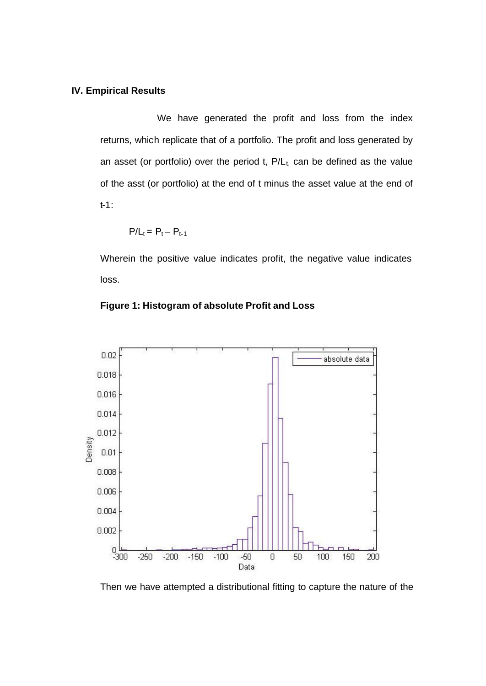#### **IV. Empirical Results**

We have generated the profit and loss from the index returns, which replicate that of a portfolio. The profit and loss generated by an asset (or portfolio) over the period t,  $P/L_t$ , can be defined as the value of the asst (or portfolio) at the end of t minus the asset value at the end of t-1:

$$
P/L_t = P_t - P_{t-1}
$$

Wherein the positive value indicates profit, the negative value indicates loss.



#### **Figure 1: Histogram of absolute Profit and Loss**

Then we have attempted a distributional fitting to capture the nature of the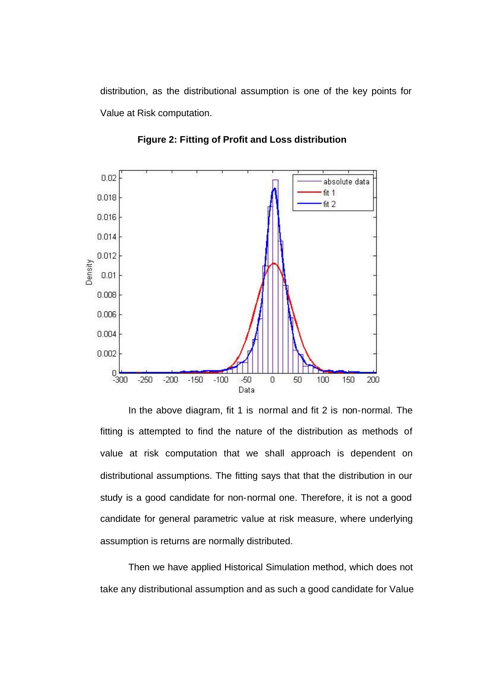distribution, as the distributional assumption is one of the key points for Value at Risk computation.



**Figure 2: Fitting of Profit and Loss distribution**

In the above diagram, fit 1 is normal and fit 2 is non-normal. The fitting is attempted to find the nature of the distribution as methods of value at risk computation that we shall approach is dependent on distributional assumptions. The fitting says that that the distribution in our study is a good candidate for non-normal one. Therefore, it is not a good candidate for general parametric value at risk measure, where underlying assumption is returns are normally distributed.

Then we have applied Historical Simulation method, which does not take any distributional assumption and as such a good candidate for Value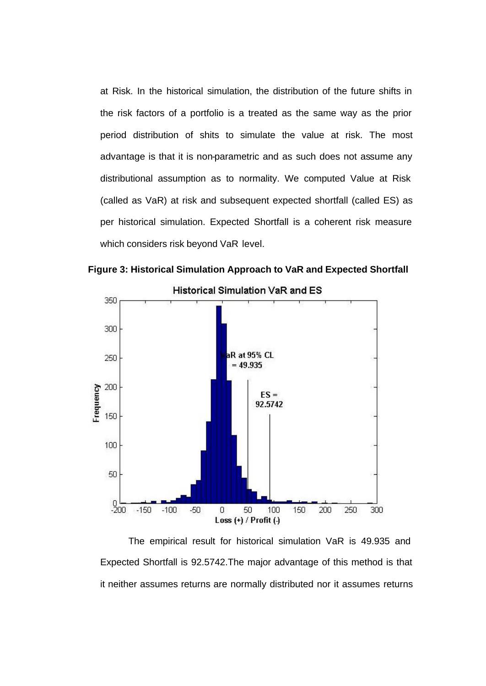at Risk. In the historical simulation, the distribution of the future shifts in the risk factors of a portfolio is a treated as the same way as the prior period distribution of shits to simulate the value at risk. The most advantage is that it is non-parametric and as such does not assume any distributional assumption as to normality. We computed Value at Risk (called as VaR) at risk and subsequent expected shortfall (called ES) as per historical simulation. Expected Shortfall is a coherent risk measure which considers risk beyond VaR level.



**Figure 3: Historical Simulation Approach to VaR and Expected Shortfall**

The empirical result for historical simulation VaR is 49.935 and Expected Shortfall is 92.5742.The major advantage of this method is that it neither assumes returns are normally distributed nor it assumes returns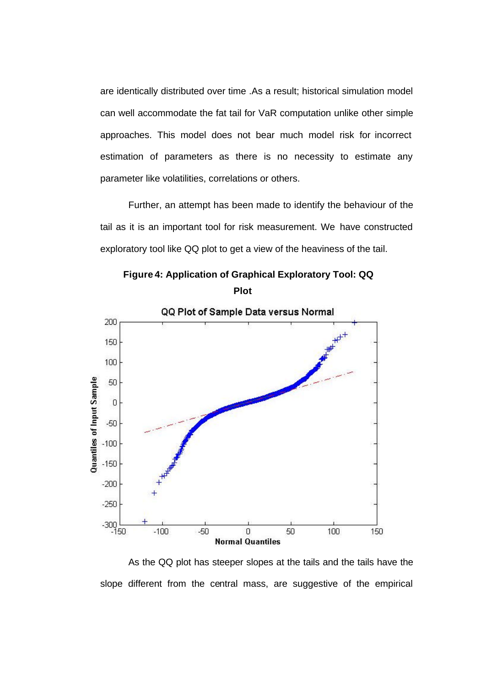are identically distributed over time .As a result; historical simulation model can well accommodate the fat tail for VaR computation unlike other simple approaches. This model does not bear much model risk for incorrect estimation of parameters as there is no necessity to estimate any parameter like volatilities, correlations or others.

Further, an attempt has been made to identify the behaviour of the tail as it is an important tool for risk measurement. We have constructed exploratory tool like QQ plot to get a view of the heaviness of the tail.

 **Figure 4: Application of Graphical Exploratory Tool: QQ Plot**



As the QQ plot has steeper slopes at the tails and the tails have the slope different from the central mass, are suggestive of the empirical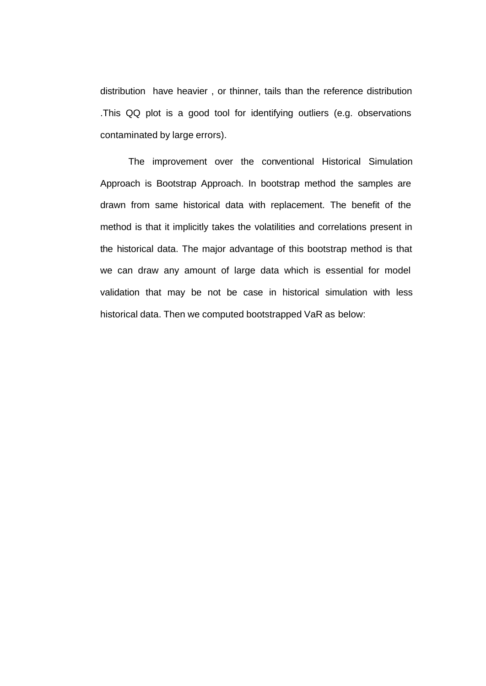distribution have heavier , or thinner, tails than the reference distribution .This QQ plot is a good tool for identifying outliers (e.g. observations contaminated by large errors).

The improvement over the conventional Historical Simulation Approach is Bootstrap Approach. In bootstrap method the samples are drawn from same historical data with replacement. The benefit of the method is that it implicitly takes the volatilities and correlations present in the historical data. The major advantage of this bootstrap method is that we can draw any amount of large data which is essential for model validation that may be not be case in historical simulation with less historical data. Then we computed bootstrapped VaR as below: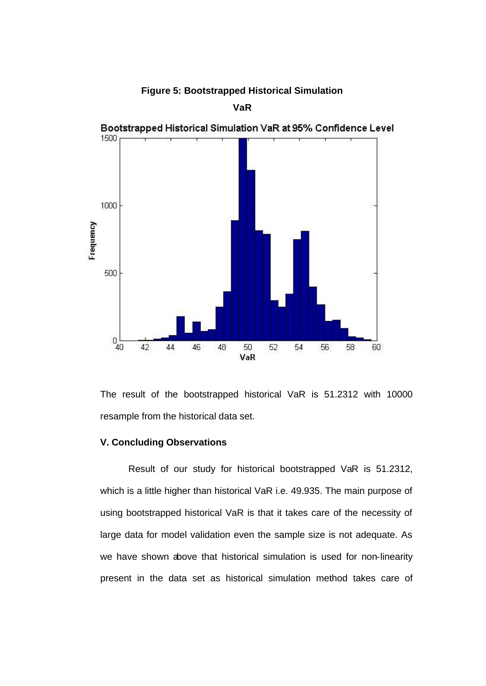

**Figure 5: Bootstrapped Historical Simulation** 

The result of the bootstrapped historical VaR is 51.2312 with 10000 resample from the historical data set.

#### **V. Concluding Observations**

Result of our study for historical bootstrapped VaR is 51.2312, which is a little higher than historical VaR i.e. 49.935. The main purpose of using bootstrapped historical VaR is that it takes care of the necessity of large data for model validation even the sample size is not adequate. As we have shown above that historical simulation is used for non-linearity present in the data set as historical simulation method takes care of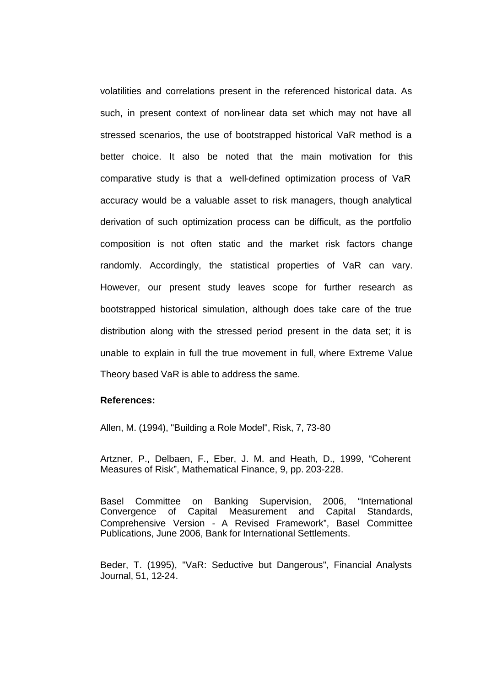volatilities and correlations present in the referenced historical data. As such, in present context of non-linear data set which may not have all stressed scenarios, the use of bootstrapped historical VaR method is a better choice. It also be noted that the main motivation for this comparative study is that a well-defined optimization process of VaR accuracy would be a valuable asset to risk managers, though analytical derivation of such optimization process can be difficult, as the portfolio composition is not often static and the market risk factors change randomly. Accordingly, the statistical properties of VaR can vary. However, our present study leaves scope for further research as bootstrapped historical simulation, although does take care of the true distribution along with the stressed period present in the data set; it is unable to explain in full the true movement in full, where Extreme Value Theory based VaR is able to address the same.

#### **References:**

Allen, M. (1994), "Building a Role Model", Risk, 7, 73-80

Artzner, P., Delbaen, F., Eber, J. M. and Heath, D., 1999, "Coherent Measures of Risk", Mathematical Finance, 9, pp. 203-228.

Basel Committee on Banking Supervision, 2006, "International Convergence of Capital Measurement and Capital Standards, Comprehensive Version - A Revised Framework", Basel Committee Publications, June 2006, Bank for International Settlements.

Beder, T. (1995), "VaR: Seductive but Dangerous", Financial Analysts Journal, 51, 12-24.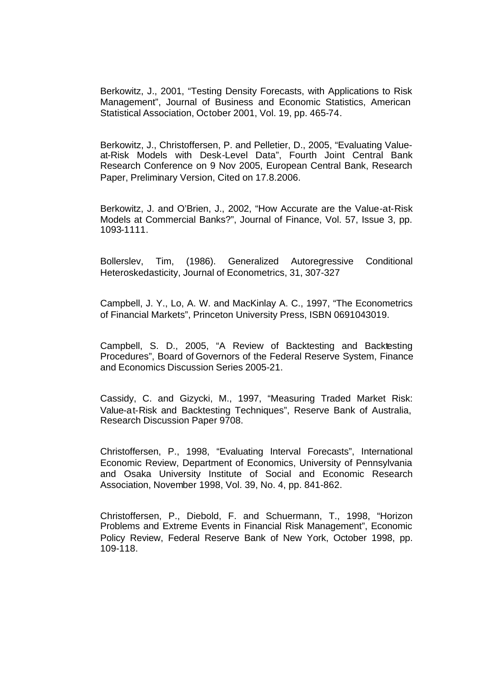Berkowitz, J., 2001, "Testing Density Forecasts, with Applications to Risk Management", Journal of Business and Economic Statistics, American Statistical Association, October 2001, Vol. 19, pp. 465-74.

Berkowitz, J., Christoffersen, P. and Pelletier, D., 2005, "Evaluating Valueat-Risk Models with Desk-Level Data", Fourth Joint Central Bank Research Conference on 9 Nov 2005, European Central Bank, Research Paper, Preliminary Version, Cited on 17.8.2006.

Berkowitz, J. and O'Brien, J., 2002, "How Accurate are the Value-at-Risk Models at Commercial Banks?", Journal of Finance, Vol. 57, Issue 3, pp. 1093-1111.

Bollerslev, Tim, (1986). Generalized Autoregressive Conditional Heteroskedasticity, Journal of Econometrics, 31, 307-327

Campbell, J. Y., Lo, A. W. and MacKinlay A. C., 1997, "The Econometrics of Financial Markets", Princeton University Press, ISBN 0691043019.

Campbell, S. D., 2005, "A Review of Backtesting and Backtesting Procedures", Board of Governors of the Federal Reserve System, Finance and Economics Discussion Series 2005-21.

Cassidy, C. and Gizycki, M., 1997, "Measuring Traded Market Risk: Value-at-Risk and Backtesting Techniques", Reserve Bank of Australia, Research Discussion Paper 9708.

Christoffersen, P., 1998, "Evaluating Interval Forecasts", International Economic Review, Department of Economics, University of Pennsylvania and Osaka University Institute of Social and Economic Research Association, November 1998, Vol. 39, No. 4, pp. 841-862.

Christoffersen, P., Diebold, F. and Schuermann, T., 1998, "Horizon Problems and Extreme Events in Financial Risk Management", Economic Policy Review, Federal Reserve Bank of New York, October 1998, pp. 109-118.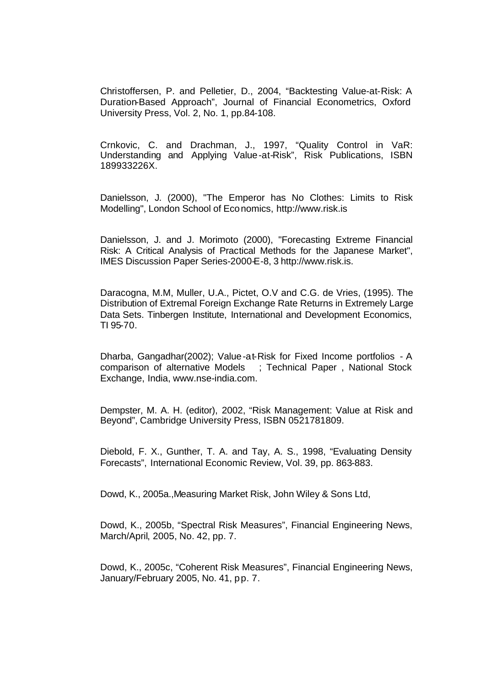Christoffersen, P. and Pelletier, D., 2004, "Backtesting Value-at-Risk: A Duration-Based Approach", Journal of Financial Econometrics, Oxford University Press, Vol. 2, No. 1, pp.84-108.

Crnkovic, C. and Drachman, J., 1997, "Quality Control in VaR: Understanding and Applying Value-at-Risk", Risk Publications, ISBN 189933226X.

Danielsson, J. (2000), "The Emperor has No Clothes: Limits to Risk Modelling", London School of Economics, http://www.risk.is

Danielsson, J. and J. Morimoto (2000), "Forecasting Extreme Financial Risk: A Critical Analysis of Practical Methods for the Japanese Market", IMES Discussion Paper Series-2000-E-8, 3 http://www.risk.is.

Daracogna, M.M, Muller, U.A., Pictet, O.V and C.G. de Vries, (1995). The Distribution of Extremal Foreign Exchange Rate Returns in Extremely Large Data Sets. Tinbergen Institute, International and Development Economics, TI 95-70.

Dharba, Gangadhar(2002); Value-at-Risk for Fixed Income portfolios - A comparison of alternative Models ; Technical Paper , National Stock Exchange, India, www.nse-india.com.

Dempster, M. A. H. (editor), 2002, "Risk Management: Value at Risk and Beyond", Cambridge University Press, ISBN 0521781809.

Diebold, F. X., Gunther, T. A. and Tay, A. S., 1998, "Evaluating Density Forecasts", International Economic Review, Vol. 39, pp. 863-883.

Dowd, K., 2005a.,Measuring Market Risk, John Wiley & Sons Ltd,

Dowd, K., 2005b, "Spectral Risk Measures", Financial Engineering News, March/April, 2005, No. 42, pp. 7.

Dowd, K., 2005c, "Coherent Risk Measures", Financial Engineering News, January/February 2005, No. 41, pp. 7.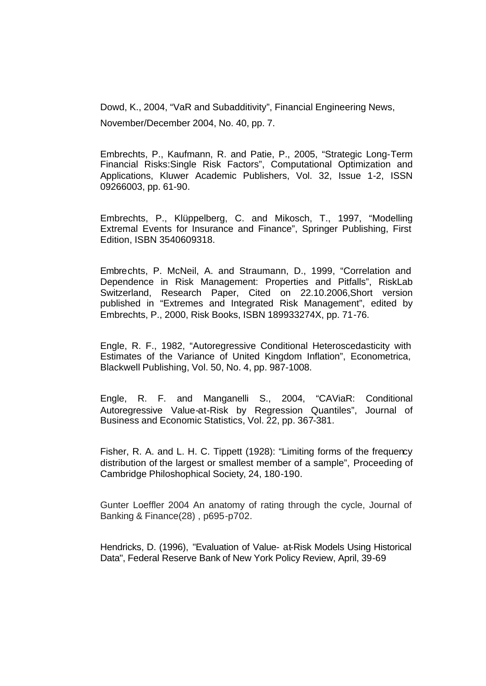Dowd, K., 2004, "VaR and Subadditivity", Financial Engineering News, November/December 2004, No. 40, pp. 7.

Embrechts, P., Kaufmann, R. and Patie, P., 2005, "Strategic Long-Term Financial Risks:Single Risk Factors", Computational Optimization and Applications, Kluwer Academic Publishers, Vol. 32, Issue 1-2, ISSN 09266003, pp. 61-90.

Embrechts, P., Klüppelberg, C. and Mikosch, T., 1997, "Modelling Extremal Events for Insurance and Finance", Springer Publishing, First Edition, ISBN 3540609318.

Embrechts, P. McNeil, A. and Straumann, D., 1999, "Correlation and Dependence in Risk Management: Properties and Pitfalls", RiskLab Switzerland, Research Paper, Cited on 22.10.2006,Short version published in "Extremes and Integrated Risk Management", edited by Embrechts, P., 2000, Risk Books, ISBN 189933274X, pp. 71-76.

Engle, R. F., 1982, "Autoregressive Conditional Heteroscedasticity with Estimates of the Variance of United Kingdom Inflation", Econometrica, Blackwell Publishing, Vol. 50, No. 4, pp. 987-1008.

Engle, R. F. and Manganelli S., 2004, "CAViaR: Conditional Autoregressive Value-at-Risk by Regression Quantiles", Journal of Business and Economic Statistics, Vol. 22, pp. 367-381.

Fisher, R. A. and L. H. C. Tippett (1928): "Limiting forms of the frequency distribution of the largest or smallest member of a sample", Proceeding of Cambridge Philoshophical Society, 24, 180-190.

Gunter Loeffler 2004 An anatomy of rating through the cycle, Journal of Banking & Finance(28) , p695-p702.

Hendricks, D. (1996), "Evaluation of Value- at-Risk Models Using Historical Data", Federal Reserve Bank of New York Policy Review, April, 39-69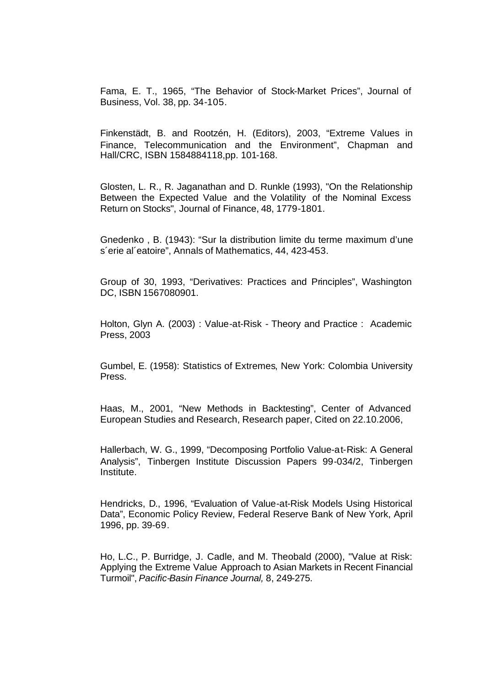Fama, E. T., 1965, "The Behavior of Stock-Market Prices", Journal of Business, Vol. 38, pp. 34-105.

Finkenstädt, B. and Rootzén, H. (Editors), 2003, "Extreme Values in Finance, Telecommunication and the Environment", Chapman and Hall/CRC, ISBN 1584884118,pp. 101-168.

Glosten, L. R., R. Jaganathan and D. Runkle (1993), "On the Relationship Between the Expected Value and the Volatility of the Nominal Excess Return on Stocks", Journal of Finance, 48, 1779-1801.

Gnedenko , B. (1943): "Sur la distribution limite du terme maximum d'une s´erie al´eatoire", Annals of Mathematics, 44, 423-453.

Group of 30, 1993, "Derivatives: Practices and Principles", Washington DC, ISBN 1567080901.

Holton, Glyn A. (2003) : Value-at-Risk - Theory and Practice : Academic Press, 2003

Gumbel, E. (1958): Statistics of Extremes, New York: Colombia University Press.

Haas, M., 2001, "New Methods in Backtesting", Center of Advanced European Studies and Research, Research paper, Cited on 22.10.2006,

Hallerbach, W. G., 1999, "Decomposing Portfolio Value-at-Risk: A General Analysis", Tinbergen Institute Discussion Papers 99-034/2, Tinbergen Institute.

Hendricks, D., 1996, "Evaluation of Value-at-Risk Models Using Historical Data", Economic Policy Review, Federal Reserve Bank of New York, April 1996, pp. 39-69.

Ho, L.C., P. Burridge, J. Cadle, and M. Theobald (2000), "Value at Risk: Applying the Extreme Value Approach to Asian Markets in Recent Financial Turmoil", *Pacific-Basin Finance Journal,* 8, 249-275.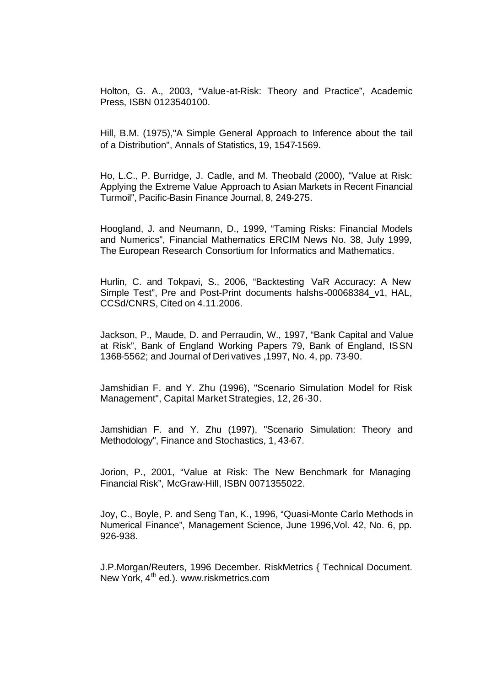Holton, G. A., 2003, "Value-at-Risk: Theory and Practice", Academic Press, ISBN 0123540100.

Hill, B.M. (1975),"A Simple General Approach to Inference about the tail of a Distribution", Annals of Statistics, 19, 1547-1569.

Ho, L.C., P. Burridge, J. Cadle, and M. Theobald (2000), "Value at Risk: Applying the Extreme Value Approach to Asian Markets in Recent Financial Turmoil", Pacific-Basin Finance Journal, 8, 249-275.

Hoogland, J. and Neumann, D., 1999, "Taming Risks: Financial Models and Numerics", Financial Mathematics ERCIM News No. 38, July 1999, The European Research Consortium for Informatics and Mathematics.

Hurlin, C. and Tokpavi, S., 2006, "Backtesting VaR Accuracy: A New Simple Test", Pre and Post-Print documents halshs-00068384\_v1, HAL, CCSd/CNRS, Cited on 4.11.2006.

Jackson, P., Maude, D. and Perraudin, W., 1997, "Bank Capital and Value at Risk", Bank of England Working Papers 79, Bank of England, ISSN 1368-5562; and Journal of Derivatives ,1997, No. 4, pp. 73-90.

Jamshidian F. and Y. Zhu (1996), "Scenario Simulation Model for Risk Management", Capital Market Strategies, 12, 26-30.

Jamshidian F. and Y. Zhu (1997), "Scenario Simulation: Theory and Methodology", Finance and Stochastics, 1, 43-67.

Jorion, P., 2001, "Value at Risk: The New Benchmark for Managing Financial Risk", McGraw-Hill, ISBN 0071355022.

Joy, C., Boyle, P. and Seng Tan, K., 1996, "Quasi-Monte Carlo Methods in Numerical Finance", Management Science, June 1996,Vol. 42, No. 6, pp. 926-938.

J.P.Morgan/Reuters, 1996 December. RiskMetrics { Technical Document. New York, 4<sup>th</sup> ed.). www.riskmetrics.com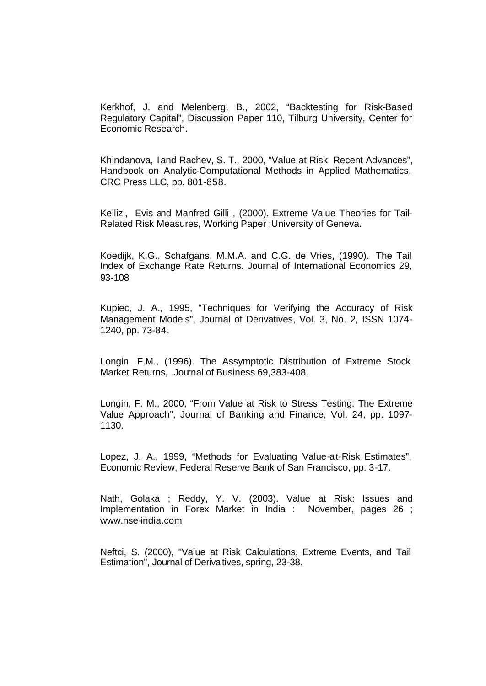Kerkhof, J. and Melenberg, B., 2002, "Backtesting for Risk-Based Regulatory Capital", Discussion Paper 110, Tilburg University, Center for Economic Research.

Khindanova, I and Rachev, S. T., 2000, "Value at Risk: Recent Advances", Handbook on Analytic-Computational Methods in Applied Mathematics, CRC Press LLC, pp. 801-858.

Kellizi, Evis and Manfred Gilli , (2000). Extreme Value Theories for Tail-Related Risk Measures, Working Paper ;University of Geneva.

Koedijk, K.G., Schafgans, M.M.A. and C.G. de Vries, (1990). The Tail Index of Exchange Rate Returns. Journal of International Economics 29, 93-108

Kupiec, J. A., 1995, "Techniques for Verifying the Accuracy of Risk Management Models", Journal of Derivatives, Vol. 3, No. 2, ISSN 1074- 1240, pp. 73-84.

Longin, F.M., (1996). The Assymptotic Distribution of Extreme Stock Market Returns, .Journal of Business 69,383-408.

Longin, F. M., 2000, "From Value at Risk to Stress Testing: The Extreme Value Approach", Journal of Banking and Finance, Vol. 24, pp. 1097- 1130.

Lopez, J. A., 1999, "Methods for Evaluating Value-at-Risk Estimates", Economic Review, Federal Reserve Bank of San Francisco, pp. 3-17.

Nath, Golaka ; Reddy, Y. V. (2003). Value at Risk: Issues and Implementation in Forex Market in India : November, pages 26 ; www.nse-india.com

Neftci, S. (2000), "Value at Risk Calculations, Extreme Events, and Tail Estimation", Journal of Derivatives, spring, 23-38.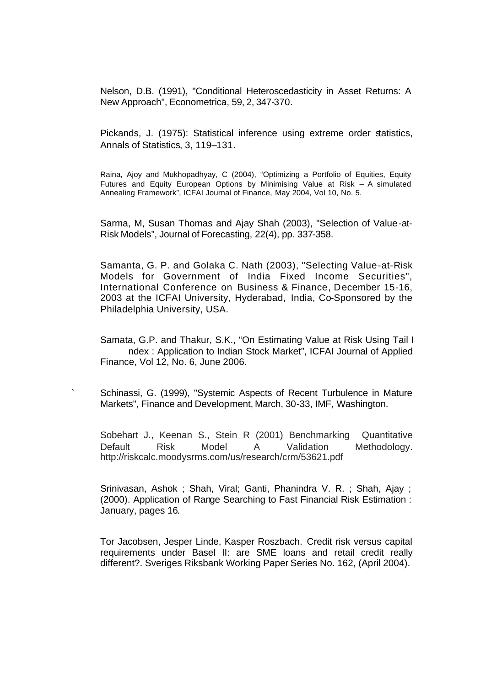Nelson, D.B. (1991), "Conditional Heteroscedasticity in Asset Returns: A New Approach", Econometrica, 59, 2, 347-370.

Pickands, J. (1975): Statistical inference using extreme order statistics, Annals of Statistics, 3, 119–131.

Raina, Ajoy and Mukhopadhyay, C (2004), "Optimizing a Portfolio of Equities, Equity Futures and Equity European Options by Minimising Value at Risk – A simulated Annealing Framework", ICFAI Journal of Finance, May 2004, Vol 10, No. 5.

Sarma, M, Susan Thomas and Ajay Shah (2003), "Selection of Value-at-Risk Models", Journal of Forecasting, 22(4), pp. 337-358.

Samanta, G. P. and Golaka C. Nath (2003), "Selecting Value-at-Risk Models for Government of India Fixed Income Securities", International Conference on Business & Finance, December 15-16, 2003 at the ICFAI University, Hyderabad, India, Co-Sponsored by the Philadelphia University, USA.

Samata, G.P. and Thakur, S.K., "On Estimating Value at Risk Using Tail I ndex : Application to Indian Stock Market", ICFAI Journal of Applied Finance, Vol 12, No. 6, June 2006.

Schinassi, G. (1999), "Systemic Aspects of Recent Turbulence in Mature Markets", Finance and Development, March, 30-33, IMF, Washington.

Sobehart J., Keenan S., Stein R (2001) Benchmarking Quantitative Default Risk Model A Validation Methodology. http://riskcalc.moodysrms.com/us/research/crm/53621.pdf

Srinivasan, Ashok ; Shah, Viral; Ganti, Phanindra V. R. ; Shah, Ajay ; (2000). Application of Range Searching to Fast Financial Risk Estimation : January, pages 16.

Tor Jacobsen, Jesper Linde, Kasper Roszbach. Credit risk versus capital requirements under Basel II: are SME loans and retail credit really different?. Sveriges Riksbank Working Paper Series No. 162, (April 2004).